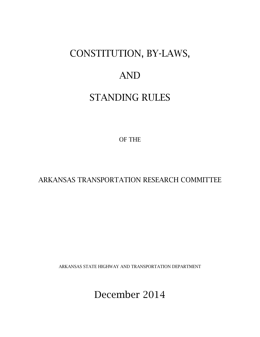## CONSTITUTION, BY-LAWS,

### AND

### STANDING RULES

OF THE

ARKANSAS TRANSPORTATION RESEARCH COMMITTEE

ARKANSAS STATE HIGHWAY AND TRANSPORTATION DEPARTMENT

December 2014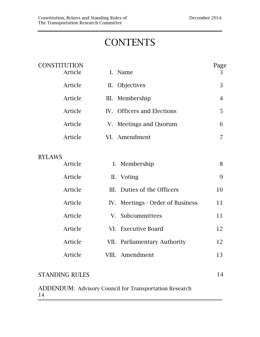# **CONTENTS**

| <b>CONSTITUTION</b> | Article<br>$\mathbf{L}$ |             | Name                             | Page<br>3      |
|---------------------|-------------------------|-------------|----------------------------------|----------------|
|                     | Article                 |             | II. Objectives                   | 3              |
|                     | Article<br>III.         |             | Membership                       | $\overline{4}$ |
|                     | Article                 |             | IV. Officers and Elections       | 5              |
|                     | Article                 |             | V. Meetings and Quorum           | 6              |
|                     | Article                 |             | VI. Amendment                    | 7              |
| <b>BYLAWS</b>       |                         |             |                                  |                |
|                     | Article                 |             | I. Membership                    | 8              |
|                     | Article                 |             | II. Voting                       | 9              |
|                     | Article                 |             | III. Duties of the Officers      | 10             |
|                     | Article                 |             | IV. Meetings - Order of Business | 11             |
|                     | Article                 | $V_{\cdot}$ | Subcommittees                    | 11             |
|                     | Article                 |             | VI. Executive Board              | 12             |
|                     | Article                 |             | VII. Parliamentary Authority     | 12             |
|                     | Article                 |             | VIII. Amendment                  | 13             |
|                     |                         |             |                                  |                |

### STANDING RULES 14

ADDENDUM: Advisory Council for Transportation Research 14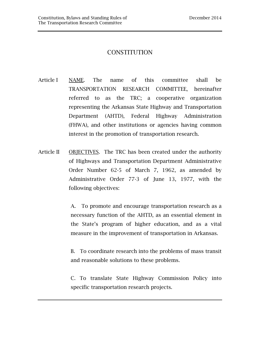#### **CONSTITUTION**

- Article I NAME. The name of this committee shall be TRANSPORTATION RESEARCH COMMITTEE, hereinafter referred to as the TRC; a cooperative organization representing the Arkansas State Highway and Transportation Department (AHTD), Federal Highway Administration (FHWA), and other institutions or agencies having common interest in the promotion of transportation research.
- Article II OBJECTIVES. The TRC has been created under the authority of Highways and Transportation Department Administrative Order Number 62-5 of March 7, 1962, as amended by Administrative Order 77-3 of June 13, 1977, with the following objectives:

 A. To promote and encourage transportation research as a necessary function of the AHTD, as an essential element in the State's program of higher education, and as a vital measure in the improvement of transportation in Arkansas.

 B. To coordinate research into the problems of mass transit and reasonable solutions to these problems.

 C. To translate State Highway Commission Policy into specific transportation research projects.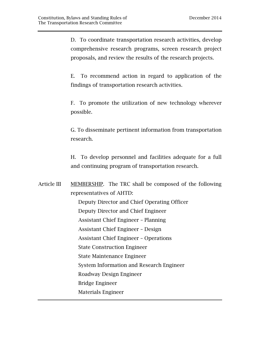D. To coordinate transportation research activities, develop comprehensive research programs, screen research project proposals, and review the results of the research projects.

 E. To recommend action in regard to application of the findings of transportation research activities.

 F. To promote the utilization of new technology wherever possible.

 G. To disseminate pertinent information from transportation research.

 H. To develop personnel and facilities adequate for a full and continuing program of transportation research.

Article III MEMBERSHIP. The TRC shall be composed of the following representatives of AHTD: Deputy Director and Chief Operating Officer Deputy Director and Chief Engineer Assistant Chief Engineer – Planning Assistant Chief Engineer – Design Assistant Chief Engineer – Operations State Construction Engineer State Maintenance Engineer System Information and Research Engineer Roadway Design Engineer Bridge Engineer Materials Engineer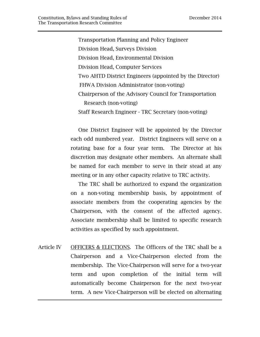Transportation Planning and Policy Engineer Division Head, Surveys Division Division Head, Environmental Division Division Head, Computer Services Two AHTD District Engineers (appointed by the Director) FHWA Division Administrator (non-voting) Chairperson of the Advisory Council for Transportation Research (non-voting) Staff Research Engineer - TRC Secretary (non-voting)

 One District Engineer will be appointed by the Director each odd numbered year. District Engineers will serve on a rotating base for a four year term. The Director at his discretion may designate other members. An alternate shall be named for each member to serve in their stead at any meeting or in any other capacity relative to TRC activity.

 The TRC shall be authorized to expand the organization on a non-voting membership basis, by appointment of associate members from the cooperating agencies by the Chairperson, with the consent of the affected agency. Associate membership shall be limited to specific research activities as specified by such appointment.

Article IV OFFICERS & ELECTIONS. The Officers of the TRC shall be a Chairperson and a Vice-Chairperson elected from the membership. The Vice-Chairperson will serve for a two-year term and upon completion of the initial term will automatically become Chairperson for the next two-year term. A new Vice-Chairperson will be elected on alternating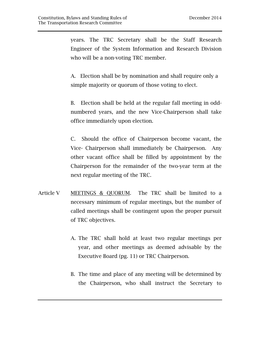years. The TRC Secretary shall be the Staff Research Engineer of the System Information and Research Division who will be a non-voting TRC member.

 A. Election shall be by nomination and shall require only a simple majority or quorum of those voting to elect.

 B. Election shall be held at the regular fall meeting in oddnumbered years, and the new Vice-Chairperson shall take office immediately upon election.

C. Should the office of Chairperson become vacant, the Vice- Chairperson shall immediately be Chairperson. Any other vacant office shall be filled by appointment by the Chairperson for the remainder of the two-year term at the next regular meeting of the TRC.

- Article V MEETINGS & QUORUM. The TRC shall be limited to a necessary minimum of regular meetings, but the number of called meetings shall be contingent upon the proper pursuit of TRC objectives.
	- A. The TRC shall hold at least two regular meetings per year, and other meetings as deemed advisable by the Executive Board (pg. 11) or TRC Chairperson.
	- B. The time and place of any meeting will be determined by the Chairperson, who shall instruct the Secretary to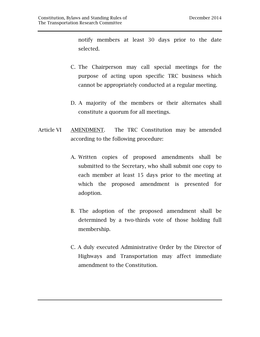notify members at least 30 days prior to the date selected.

- C. The Chairperson may call special meetings for the purpose of acting upon specific TRC business which cannot be appropriately conducted at a regular meeting.
- D. A majority of the members or their alternates shall constitute a quorum for all meetings.
- Article VI AMENDMENT. The TRC Constitution may be amended according to the following procedure:
	- A. Written copies of proposed amendments shall be submitted to the Secretary, who shall submit one copy to each member at least 15 days prior to the meeting at which the proposed amendment is presented for adoption.
	- B. The adoption of the proposed amendment shall be determined by a two-thirds vote of those holding full membership.
	- C. A duly executed Administrative Order by the Director of Highways and Transportation may affect immediate amendment to the Constitution.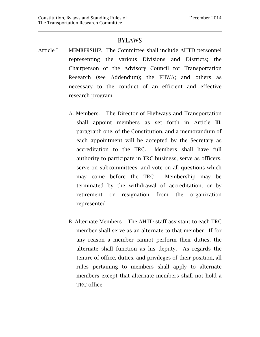#### BYLAWS

- Article I MEMBERSHIP. The Committee shall include AHTD personnel representing the various Divisions and Districts; the Chairperson of the Advisory Council for Transportation Research (see Addendum); the FHWA; and others as necessary to the conduct of an efficient and effective research program.
	- A. Members. The Director of Highways and Transportation shall appoint members as set forth in Article III, paragraph one, of the Constitution, and a memorandum of each appointment will be accepted by the Secretary as accreditation to the TRC. Members shall have full authority to participate in TRC business, serve as officers, serve on subcommittees, and vote on all questions which may come before the TRC. Membership may be terminated by the withdrawal of accreditation, or by retirement or resignation from the organization represented.
	- B. Alternate Members. The AHTD staff assistant to each TRC member shall serve as an alternate to that member. If for any reason a member cannot perform their duties, the alternate shall function as his deputy. As regards the tenure of office, duties, and privileges of their position, all rules pertaining to members shall apply to alternate members except that alternate members shall not hold a TRC office.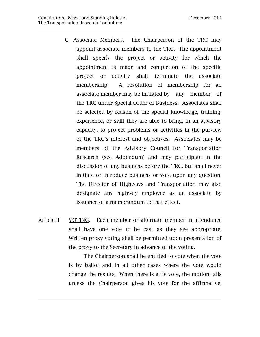- C. Associate Members. The Chairperson of the TRC may appoint associate members to the TRC. The appointment shall specify the project or activity for which the appointment is made and completion of the specific project or activity shall terminate the associate membership. A resolution of membership for an associate member may be initiated by any member of the TRC under Special Order of Business. Associates shall be selected by reason of the special knowledge, training, experience, or skill they are able to bring, in an advisory capacity, to project problems or activities in the purview of the TRC's interest and objectives. Associates may be members of the Advisory Council for Transportation Research (see Addendum) and may participate in the discussion of any business before the TRC, but shall never initiate or introduce business or vote upon any question. The Director of Highways and Transportation may also designate any highway employee as an associate by issuance of a memorandum to that effect.
- Article II VOTING. Each member or alternate member in attendance shall have one vote to be cast as they see appropriate. Written proxy voting shall be permitted upon presentation of the proxy to the Secretary in advance of the voting.

 The Chairperson shall be entitled to vote when the vote is by ballot and in all other cases where the vote would change the results. When there is a tie vote, the motion fails unless the Chairperson gives his vote for the affirmative.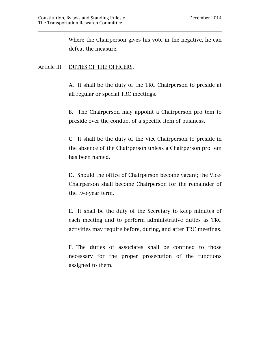Where the Chairperson gives his vote in the negative, he can defeat the measure.

#### Article III DUTIES OF THE OFFICERS.

A. It shall be the duty of the TRC Chairperson to preside at all regular or special TRC meetings.

B. The Chairperson may appoint a Chairperson pro tem to preside over the conduct of a specific item of business.

C. It shall be the duty of the Vice-Chairperson to preside in the absence of the Chairperson unless a Chairperson pro tem has been named.

D. Should the office of Chairperson become vacant; the Vice-Chairperson shall become Chairperson for the remainder of the two-year term.

E. It shall be the duty of the Secretary to keep minutes of each meeting and to perform administrative duties as TRC activities may require before, during, and after TRC meetings.

 F. The duties of associates shall be confined to those necessary for the proper prosecution of the functions assigned to them.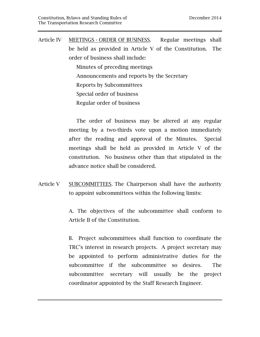Article IV MEETINGS - ORDER OF BUSINESS. Regular meetings shall be held as provided in Article V of the Constitution. The order of business shall include:

> Minutes of preceding meetings Announcements and reports by the Secretary Reports by Subcommittees Special order of business Regular order of business

 The order of business may be altered at any regular meeting by a two-thirds vote upon a motion immediately after the reading and approval of the Minutes. Special meetings shall be held as provided in Article V of the constitution. No business other than that stipulated in the advance notice shall be considered.

Article V SUBCOMMITTEES. The Chairperson shall have the authority to appoint subcommittees within the following limits:

> A. The objectives of the subcommittee shall conform to Article II of the Constitution.

> B. Project subcommittees shall function to coordinate the TRC's interest in research projects. A project secretary may be appointed to perform administrative duties for the subcommittee if the subcommittee so desires. The subcommittee secretary will usually be the project coordinator appointed by the Staff Research Engineer.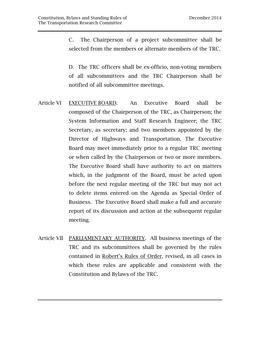C. The Chairperson of a project subcommittee shall be selected from the members or alternate members of the TRC.

D. The TRC officers shall be ex-officio, non-voting members of all subcommittees and the TRC Chairperson shall be notified of all subcommittee meetings.

- Article VI EXECUTIVE BOARD. An Executive Board shall be composed of the Chairperson of the TRC, as Chairperson; the System Information and Staff Research Engineer; the TRC Secretary, as secretary; and two members appointed by the Director of Highways and Transportation. The Executive Board may meet immediately prior to a regular TRC meeting or when called by the Chairperson or two or more members. The Executive Board shall have authority to act on matters which, in the judgment of the Board, must be acted upon before the next regular meeting of the TRC but may not act to delete items entered on the Agenda as Special Order of Business. The Executive Board shall make a full and accurate report of its discussion and action at the subsequent regular meeting.
- Article VII PARLIAMENTARY AUTHORITY. All business meetings of the TRC and its subcommittees shall be governed by the rules contained in Robert's Rules of Order, revised, in all cases in which these rules are applicable and consistent with the Constitution and Bylaws of the TRC.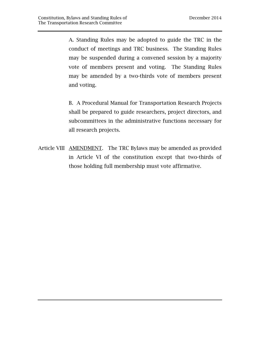A. Standing Rules may be adopted to guide the TRC in the conduct of meetings and TRC business. The Standing Rules may be suspended during a convened session by a majority vote of members present and voting. The Standing Rules may be amended by a two-thirds vote of members present and voting.

B. A Procedural Manual for Transportation Research Projects shall be prepared to guide researchers, project directors, and subcommittees in the administrative functions necessary for all research projects.

Article VIII AMENDMENT. The TRC Bylaws may be amended as provided in Article VI of the constitution except that two-thirds of those holding full membership must vote affirmative.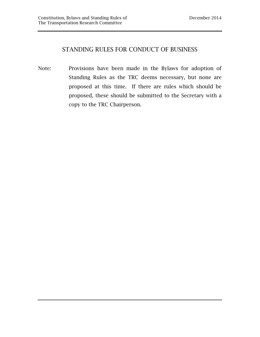#### STANDING RULES FOR CONDUCT OF BUSINESS

Note: Provisions have been made in the Bylaws for adoption of Standing Rules as the TRC deems necessary, but none are proposed at this time. If there are rules which should be proposed, these should be submitted to the Secretary with a copy to the TRC Chairperson.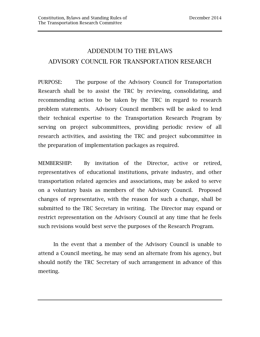### ADDENDUM TO THE BYLAWS ADVISORY COUNCIL FOR TRANSPORTATION RESEARCH

PURPOSE: The purpose of the Advisory Council for Transportation Research shall be to assist the TRC by reviewing, consolidating, and recommending action to be taken by the TRC in regard to research problem statements. Advisory Council members will be asked to lend their technical expertise to the Transportation Research Program by serving on project subcommittees, providing periodic review of all research activities, and assisting the TRC and project subcommittee in the preparation of implementation packages as required.

MEMBERSHIP: By invitation of the Director, active or retired, representatives of educational institutions, private industry, and other transportation related agencies and associations, may be asked to serve on a voluntary basis as members of the Advisory Council. Proposed changes of representative, with the reason for such a change, shall be submitted to the TRC Secretary in writing. The Director may expand or restrict representation on the Advisory Council at any time that he feels such revisions would best serve the purposes of the Research Program.

 In the event that a member of the Advisory Council is unable to attend a Council meeting, he may send an alternate from his agency, but should notify the TRC Secretary of such arrangement in advance of this meeting.